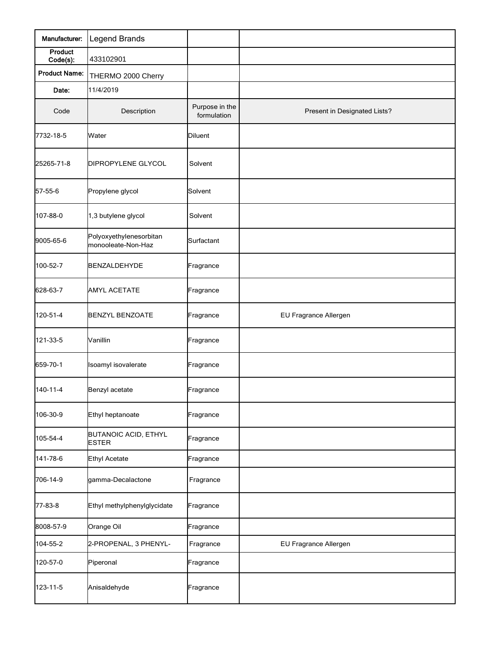| Manufacturer:        | Legend Brands                                 |                               |                              |
|----------------------|-----------------------------------------------|-------------------------------|------------------------------|
| Product<br>Code(s):  | 433102901                                     |                               |                              |
| <b>Product Name:</b> | THERMO 2000 Cherry                            |                               |                              |
| Date:                | 11/4/2019                                     |                               |                              |
| Code                 | Description                                   | Purpose in the<br>formulation | Present in Designated Lists? |
| 7732-18-5            | Water                                         | <b>Diluent</b>                |                              |
| 25265-71-8           | DIPROPYLENE GLYCOL                            | Solvent                       |                              |
| 57-55-6              | Propylene glycol                              | Solvent                       |                              |
| 107-88-0             | 1,3 butylene glycol                           | Solvent                       |                              |
| 9005-65-6            | Polyoxyethylenesorbitan<br>monooleate-Non-Haz | Surfactant                    |                              |
| 100-52-7             | BENZALDEHYDE                                  | Fragrance                     |                              |
| 628-63-7             | <b>AMYL ACETATE</b>                           | Fragrance                     |                              |
| 120-51-4             | <b>BENZYL BENZOATE</b>                        | Fragrance                     | EU Fragrance Allergen        |
| 121-33-5             | Vanillin                                      | Fragrance                     |                              |
| 659-70-1             | Isoamyl isovalerate                           | Fragrance                     |                              |
| 140-11-4             | Benzyl acetate                                | Fragrance                     |                              |
| 106-30-9             | Ethyl heptanoate                              | Fragrance                     |                              |
| 105-54-4             | <b>BUTANOIC ACID, ETHYL</b><br><b>ESTER</b>   | Fragrance                     |                              |
| 141-78-6             | <b>Ethyl Acetate</b>                          | Fragrance                     |                              |
| 706-14-9             | gamma-Decalactone                             | Fragrance                     |                              |
| 77-83-8              | Ethyl methylphenylglycidate                   | Fragrance                     |                              |
| 8008-57-9            | Orange Oil                                    | Fragrance                     |                              |
| 104-55-2             | 2-PROPENAL, 3 PHENYL-                         | Fragrance                     | EU Fragrance Allergen        |
| 120-57-0             | Piperonal                                     | Fragrance                     |                              |
| 123-11-5             | Anisaldehyde                                  | Fragrance                     |                              |